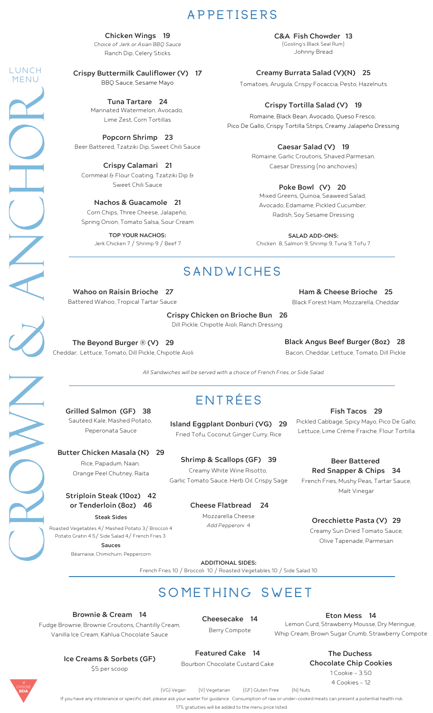# **A P P E T I S E R S**

Ranch Dip, Celery Sticks **Chicken Wings 19** Choice of Jerk or Asian BBQ Sauce

**Crispy Buttermilk Cauliflower (V) 17** BBQ Sauce, Sesame Mayo

**L U N C H M E N U**

> Marinated Watermelon, Avocado, Lime Zest, Corn Tortillas **Tuna Tartare 24**

Beer Battered, Tzatziki Dip, Sweet Chili Sauce **Popcorn Shrimp 23**

Cornmeal & Flour Coating, Tzatziki Dip & Sweet Chili Sauce **Crispy Calamari 21**

**Nachos & Guacamole 21** Corn Chips, Three Cheese, Jalapeño, Spring Onion, Tomato Salsa, Sour Cream

> **TOP YOUR NACHOS:** Jerk Chicken 7 / Shrimp 9 / Beef 7

Johnny Bread **C&A Fish Chowder 13** (Gosling's Black Seal Rum)

**Creamy Burrata Salad (V)(N) 25**

Tomatoes, Arugula, Crispy Focaccia, Pesto, Hazelnuts

#### **Crispy Tortilla Salad (V) 19**

Romaine, Black Bean, Avocado, Queso Fresco, Pico De Gallo, Crispy Tortilla Strips, Creamy Jalapeño Dressing

**Caesar Salad (V) 19**

Romaine, Garlic Croutons, Shaved Parmesan, Caesar Dressing (no anchovies)

#### **Poke Bowl (V) 20**

Mixed Greens, Quinoa, Seaweed Salad, Avocado, Edamame, Pickled Cucumber, Radish, Soy Sesame Dressing

**SALAD ADD-ONS:** Chicken 8, Salmon 9, Shrimp 9, Tuna 9, Tofu 7

# **S A N D W I C H E S**

Battered Wahoo, Tropical Tartar Sauce **Wahoo on Raisin Brioche 27**

> Dill Pickle, Chipotle Aioli, Ranch Dressing **Crispy Chicken on Brioche Bun 26**

Cheddar, Lettuce, Tomato, Dill Pickle, Chipotle Aioli **The Beyond Burger ® (V) 29**

Bacon, Cheddar, Lettuce, Tomato, Dill Pickle **Black Angus Beef Burger (8oz) 28**

Black Forest Ham, Mozzarella, Cheddar **Ham & Cheese Brioche 25**

All Sandwiches will be served with a choice of French Fries, or Side Salad

#### Sautéed Kale, Mashed Potato, Peperonata Sauce **Grilled Salmon (GF) 38**

**Island Eggplant Donburi (VG) 29**

**E N T R É E S**

**Butter Chicken Masala (N) 29** Rice, Papadum, Naan, Orange Peel Chutney, Raita

#### **Striploin Steak (10oz) 42 or Tenderloin (8oz) 46 Steak Sides**

Roasted Vegetables 4/ Mashed Potato 3/ Broccoli 4 Potato Gratin 4.5/ Side Salad 4/ French Fries 3 **Sauces**

Béarnaise, Chimichurri, Peppercorn

Fried Tofu, Coconut Ginger Curry, Rice

Creamy White Wine Risotto, Garlic Tomato Sauce, Herb Oil, Crispy Sage **Shrimp & Scallops (GF) 39**

> Mozzarella Cheese **Cheese Flatbread 24**

Add Pepperoni 4

**Fish Tacos 29**

Pickled Cabbage, Spicy Mayo, Pico De Gallo, Lettuce, Lime [Crème](https://www.internationaldessertsblog.com/make-creme-fraiche/) Fraiche, Flour Tortilla

French Fries, Mushy Peas, Tartar Sauce, Malt Vinegar **Beer Battered Red Snapper & Chips 34**

Creamy Sun Dried Tomato Sauce, Olive Tapenade, Parmesan **Orecchiette Pasta (V) 29**

**ADDITIONAL SIDES:** French Fries 10 / Broccoli 10 / Roasted Vegetables 10 / Side Salad 10

**s o m e t h i n g S w e e t**

**Brownie & Cream 14**

Fudge Brownie, Brownie Croutons, Chantilly Cream, Vanilla Ice Cream, Kahlua Chocolate Sauce

**Cheesecake 14** Berry Compote

**Eton Mess 14** Lemon Curd, Strawberry Mousse, Dry Meringue, Whip Cream, Brown Sugar Crumb, Strawberry Compote

**Ice Creams & Sorbets (GF)** \$5 per scoop

**Featured Cake 14**

Bourbon Chocolate Custard Cake

**The Duchess Chocolate Chip Cookies** 1 Cookie - 3.50

4 Cookies - 12

(VG) Vegan (V) Vegetarian (GF) Gluten Free (N) Nuts

If you have any intolerance or specific diet, please ask your waiter for quidance. Consumption of raw or under-cooked meats can present a potential health risk

17% gratuities will be added to the menu price listed.

 $\sum\limits_{k=1}^{N}$